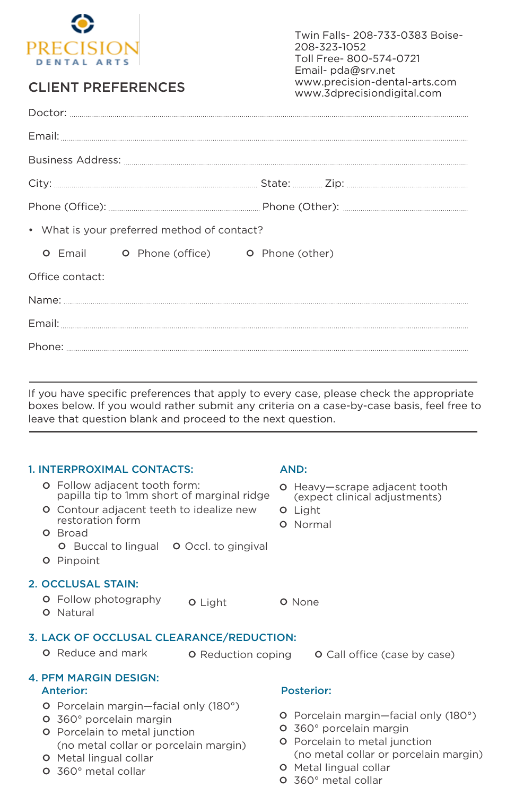

# CLIENT PREFERENCES

Twin Falls- 208-733-0383 Boise-208-323-1052 Toll Free- 800-574-0721 Email- pda@srv.net www.precision-dental-arts.com www.3dprecisiondigital.com

|                 | • What is your preferred method of contact? |                                                               |  |
|-----------------|---------------------------------------------|---------------------------------------------------------------|--|
|                 |                                             | <b>O</b> Email <b>O</b> Phone (office) <b>O</b> Phone (other) |  |
| Office contact: |                                             |                                                               |  |
|                 |                                             |                                                               |  |
|                 |                                             |                                                               |  |
|                 |                                             |                                                               |  |
|                 |                                             |                                                               |  |

If you have specific preferences that apply to every case, please check the appropriate boxes below. If you would rather submit any criteria on a case-by-case basis, feel free to leave that question blank and proceed to the next question.

## 1. INTERPROXIMAL CONTACTS: AND:

|         | <u>I. INTERFROAIMAL CONTACTS.</u>                                                                                                                                                     |                           |         | AIVU.                                                                                                         |
|---------|---------------------------------------------------------------------------------------------------------------------------------------------------------------------------------------|---------------------------|---------|---------------------------------------------------------------------------------------------------------------|
|         | <b>O</b> Follow adjacent tooth form:<br>papilla tip to 1mm short of marginal ridge                                                                                                    |                           | $\circ$ | Heavy-scrape adjacent tooth<br>(expect clinical adjustments)                                                  |
|         | <b>O</b> Contour adjacent teeth to idealize new<br>restoration form                                                                                                                   |                           |         | <b>O</b> Light<br><b>O</b> Normal                                                                             |
|         | <b>O</b> Broad<br><b>O</b> Buccal to lingual <b>O</b> Occl. to gingival                                                                                                               |                           |         |                                                                                                               |
| $\circ$ | Pinpoint                                                                                                                                                                              |                           |         |                                                                                                               |
|         | 2. OCCLUSAL STAIN:                                                                                                                                                                    |                           |         |                                                                                                               |
| $\circ$ | <b>O</b> Follow photography<br>Natural                                                                                                                                                | <b>O</b> Light            |         | O None                                                                                                        |
|         | <b>3. LACK OF OCCLUSAL CLEARANCE/REDUCTION:</b>                                                                                                                                       |                           |         |                                                                                                               |
|         | <b>O</b> Reduce and mark                                                                                                                                                              | <b>O</b> Reduction coping |         | <b>O</b> Call office (case by case)                                                                           |
|         | <b>4. PFM MARGIN DESIGN:</b>                                                                                                                                                          |                           |         |                                                                                                               |
|         | Anterior:                                                                                                                                                                             |                           |         | <b>Posterior:</b>                                                                                             |
| O       | <b>O</b> Porcelain margin-facial only (180°)<br>360° porcelain margin<br><b>O</b> Porcelain to metal junction<br>And the second control of the second control of the second controls. |                           | $\circ$ | <b>O</b> Porcelain margin-facial only (180°)<br>360° porcelain margin<br><b>O</b> Porcelain to metal iunction |

- **O** Porcelain to metal junction<br>(no metal collar or porcelair (no metal collar or porcelain margin)
- **O** Metal lingual collar
- ° 360° metal collar
- 
- **O** Porcelain to metal junction<br>(no metal collar or porcelain (no metal collar or porcelain margin)
- **O** Metal lingual collar
- ° 360° metal collar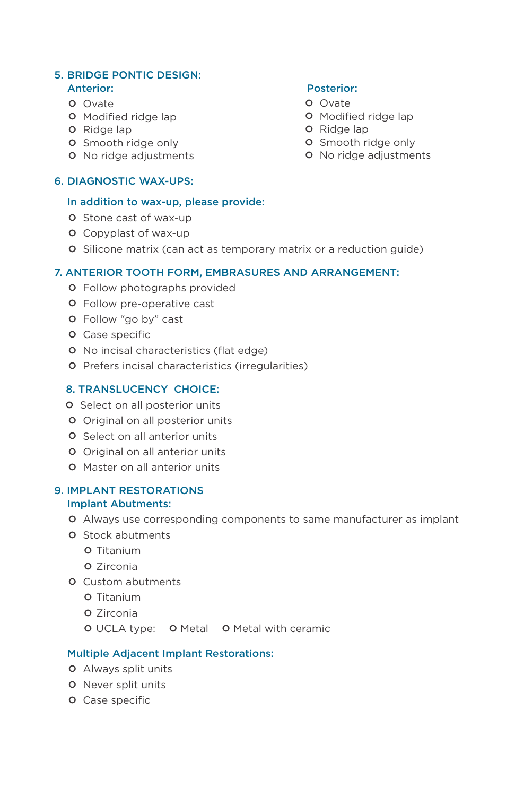### 5. BRIDGE PONTIC DESIGN: Anterior: Posterior:

- **O** Ovate
- **O** Modified ridge lap
- **O** Ridge lap
- **O** Smooth ridge only
- **O** No ridge adjustments

### 6. DIAGNOSTIC WAX-UPS:

### In addition to wax-up, please provide:

- **O** Stone cast of wax-up
- **O** Copyplast of wax-up
- ° Silicone matrix (can act as temporary matrix or a reduction guide)

### 7. ANTERIOR TOOTH FORM, EMBRASURES AND ARRANGEMENT:

- **O** Follow photographs provided
- **O** Follow pre-operative cast
- ° Follow "go by" cast
- **O** Case specific
- ° No incisal characteristics (flat edge)
- ° Prefers incisal characteristics (irregularities)

### 8. TRANSLUCENCY CHOICE:

- **O** Select on all posterior units
- **O** Original on all posterior units
- **O** Select on all anterior units
- **O** Original on all anterior units
- **O** Master on all anterior units

### 9. IMPLANT RESTORATIONS Implant Abutments:

- ° Always use corresponding components to same manufacturer as implant
- **O** Stock abutments
	- ° Titanium
	- O Zirconia
- **O** Custom abutments
	- **O** Titanium
	- **O** Zirconia
	- **O** UCLA type: **O** Metal **O** Metal with ceramic

### Multiple Adjacent Implant Restorations:

- **O** Always split units
- **O** Never split units
- **O** Case specific

- **O** Ovate
- **O** Modified ridge lap
- **O** Ridge lap
- **O** Smooth ridge only
- **O** No ridge adjustments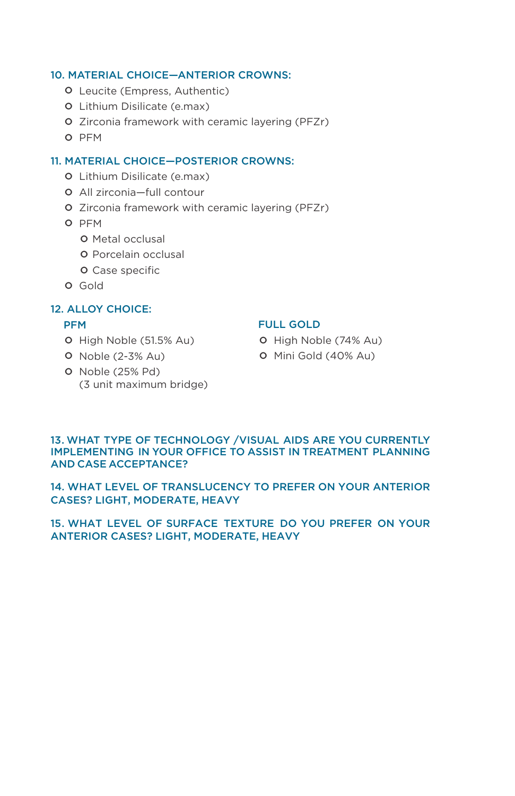### 10. MATERIAL CHOICE—ANTERIOR CROWNS:

- **O** Leucite (Empress, Authentic)
- ° Lithium Disilicate (e.max)
- ° Zirconia framework with ceramic layering (PFZr)
- O PFM

### 11. MATERIAL CHOICE—POSTERIOR CROWNS:

- ° Lithium Disilicate (e.max)
- ° All zirconia—full contour
- ° Zirconia framework with ceramic layering (PFZr)
- O PFM
	- **O** Metal occlusal
	- **O** Porcelain occlusal
	- **O** Case specific
- **O** Gold

### 12. ALLOY CHOICE:

### PFM

- ° High Noble (51.5% Au)
- ° Noble (2-3% Au)
- ° Noble (25% Pd) (3 unit maximum bridge)

### FULL GOLD

- ° High Noble (74% Au)
- ° Mini Gold (40% Au)

### 13. WHAT TYPE OF TECHNOLOGY /VISUAL AIDS ARE YOU CURRENTLY IMPLEMENTING IN YOUR OFFICE TO ASSIST IN TREATMENT PLANNING AND CASE ACCEPTANCE?

14. WHAT LEVEL OF TRANSLUCENCY TO PREFER ON YOUR ANTERIOR CASES? LIGHT, MODERATE, HEAVY

### 15. WHAT LEVEL OF SURFACE TEXTURE DO YOU PREFER ON YOUR ANTERIOR CASES? LIGHT, MODERATE, HEAVY